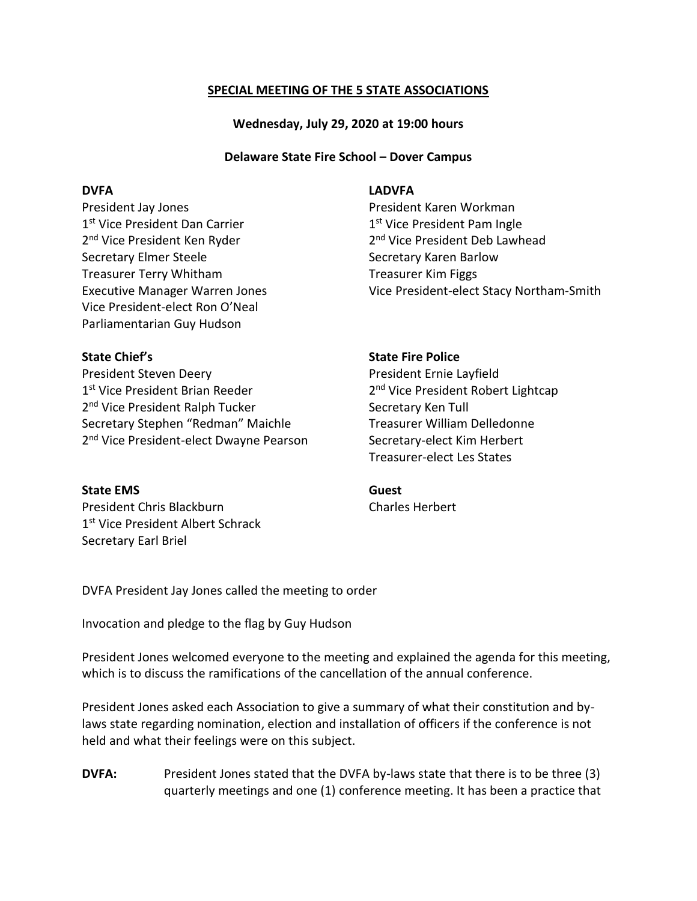# **SPECIAL MEETING OF THE 5 STATE ASSOCIATIONS**

**Wednesday, July 29, 2020 at 19:00 hours**

# **Delaware State Fire School – Dover Campus**

President Jay Jones President Karen Workman 1<sup>st</sup> Vice President Dan Carrier 1 2<sup>nd</sup> Vice President Ken Ryder 2008 12 Secretary Elmer Steele Secretary Karen Barlow Treasurer Terry Whitham Treasurer Kim Figgs Vice President-elect Ron O'Neal Parliamentarian Guy Hudson

President Steven Deery **President Ernie Layfield** 1<sup>st</sup> Vice President Brian Reeder 2 2<sup>nd</sup> Vice President Ralph Tucker **Secretary Ken Tull** Secretary Stephen "Redman" Maichle Treasurer William Delledonne 2<sup>nd</sup> Vice President-elect Dwayne Pearson Secretary-elect Kim Herbert

# **State EMS Guest**

President Chris Blackburn Charles Herbert 1st Vice President Albert Schrack Secretary Earl Briel

# **DVFA LADVFA**

1<sup>st</sup> Vice President Pam Ingle 2<sup>nd</sup> Vice President Deb Lawhead Executive Manager Warren Jones Vice President-elect Stacy Northam-Smith

### **State Chief's State Fire Police**

2<sup>nd</sup> Vice President Robert Lightcap Treasurer-elect Les States

DVFA President Jay Jones called the meeting to order

Invocation and pledge to the flag by Guy Hudson

President Jones welcomed everyone to the meeting and explained the agenda for this meeting, which is to discuss the ramifications of the cancellation of the annual conference.

President Jones asked each Association to give a summary of what their constitution and bylaws state regarding nomination, election and installation of officers if the conference is not held and what their feelings were on this subject.

**DVFA:** President Jones stated that the DVFA by-laws state that there is to be three (3) quarterly meetings and one (1) conference meeting. It has been a practice that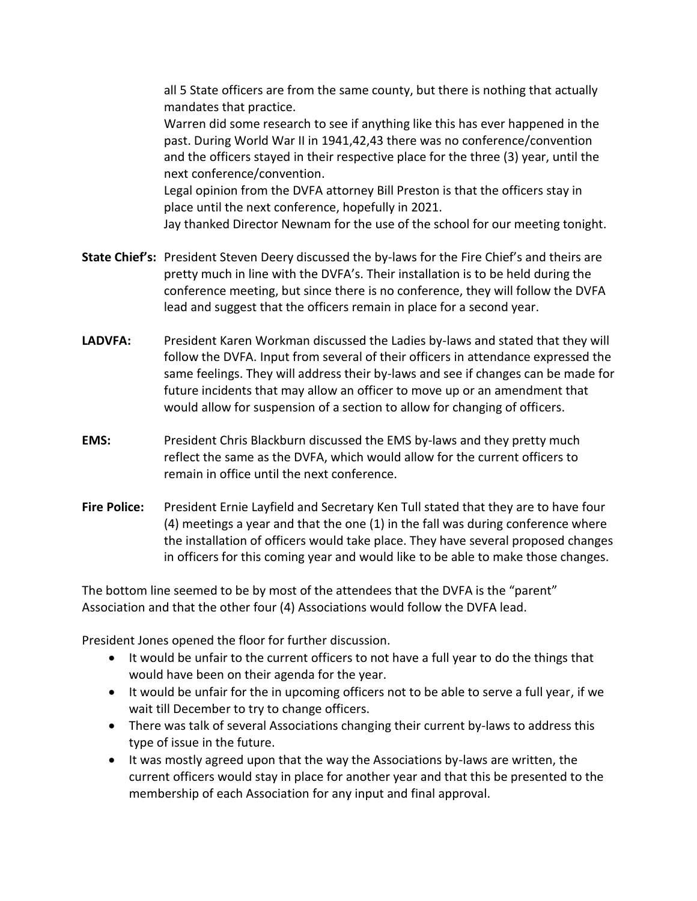all 5 State officers are from the same county, but there is nothing that actually mandates that practice.

Warren did some research to see if anything like this has ever happened in the past. During World War II in 1941,42,43 there was no conference/convention and the officers stayed in their respective place for the three (3) year, until the next conference/convention.

Legal opinion from the DVFA attorney Bill Preston is that the officers stay in place until the next conference, hopefully in 2021.

Jay thanked Director Newnam for the use of the school for our meeting tonight.

- **State Chief's:** President Steven Deery discussed the by-laws for the Fire Chief's and theirs are pretty much in line with the DVFA's. Their installation is to be held during the conference meeting, but since there is no conference, they will follow the DVFA lead and suggest that the officers remain in place for a second year.
- **LADVFA:** President Karen Workman discussed the Ladies by-laws and stated that they will follow the DVFA. Input from several of their officers in attendance expressed the same feelings. They will address their by-laws and see if changes can be made for future incidents that may allow an officer to move up or an amendment that would allow for suspension of a section to allow for changing of officers.
- **EMS:** President Chris Blackburn discussed the EMS by-laws and they pretty much reflect the same as the DVFA, which would allow for the current officers to remain in office until the next conference.
- **Fire Police:** President Ernie Layfield and Secretary Ken Tull stated that they are to have four (4) meetings a year and that the one (1) in the fall was during conference where the installation of officers would take place. They have several proposed changes in officers for this coming year and would like to be able to make those changes.

The bottom line seemed to be by most of the attendees that the DVFA is the "parent" Association and that the other four (4) Associations would follow the DVFA lead.

President Jones opened the floor for further discussion.

- It would be unfair to the current officers to not have a full year to do the things that would have been on their agenda for the year.
- It would be unfair for the in upcoming officers not to be able to serve a full year, if we wait till December to try to change officers.
- There was talk of several Associations changing their current by-laws to address this type of issue in the future.
- It was mostly agreed upon that the way the Associations by-laws are written, the current officers would stay in place for another year and that this be presented to the membership of each Association for any input and final approval.